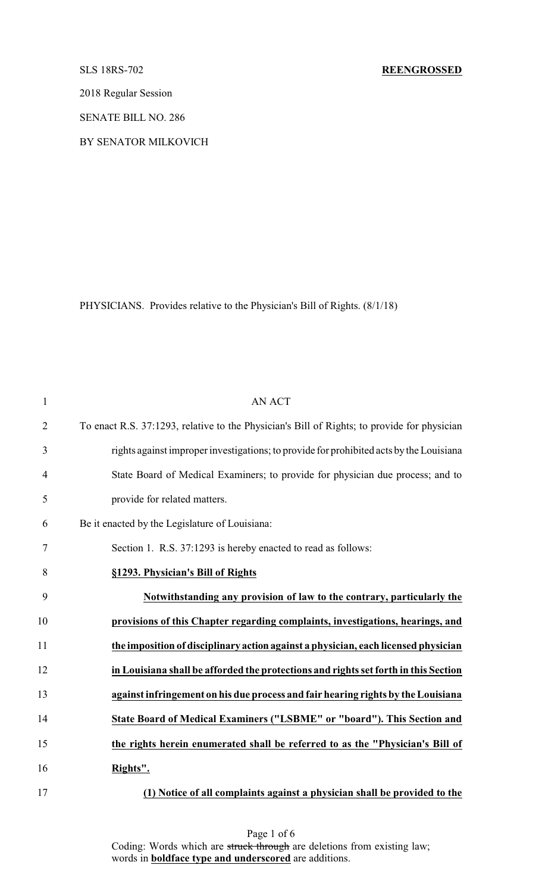2018 Regular Session

SENATE BILL NO. 286

BY SENATOR MILKOVICH

PHYSICIANS. Provides relative to the Physician's Bill of Rights. (8/1/18)

| $\mathbf{1}$   | <b>AN ACT</b>                                                                               |
|----------------|---------------------------------------------------------------------------------------------|
| $\overline{2}$ | To enact R.S. 37:1293, relative to the Physician's Bill of Rights; to provide for physician |
| 3              | rights against improper investigations; to provide for prohibited acts by the Louisiana     |
| $\overline{4}$ | State Board of Medical Examiners; to provide for physician due process; and to              |
| 5              | provide for related matters.                                                                |
| 6              | Be it enacted by the Legislature of Louisiana:                                              |
| 7              | Section 1. R.S. 37:1293 is hereby enacted to read as follows:                               |
| 8              | §1293. Physician's Bill of Rights                                                           |
| 9              | Notwithstanding any provision of law to the contrary, particularly the                      |
| 10             | provisions of this Chapter regarding complaints, investigations, hearings, and              |
| 11             | the imposition of disciplinary action against a physician, each licensed physician          |
| 12             | in Louisiana shall be afforded the protections and rights set forth in this Section         |
| 13             | against infringement on his due process and fair hearing rights by the Louisiana            |
| 14             | State Board of Medical Examiners ("LSBME" or "board"). This Section and                     |
| 15             | the rights herein enumerated shall be referred to as the "Physician's Bill of               |
| 16             | Rights".                                                                                    |
| 17             | (1) Notice of all complaints against a physician shall be provided to the                   |

Page 1 of 6 Coding: Words which are struck through are deletions from existing law; words in **boldface type and underscored** are additions.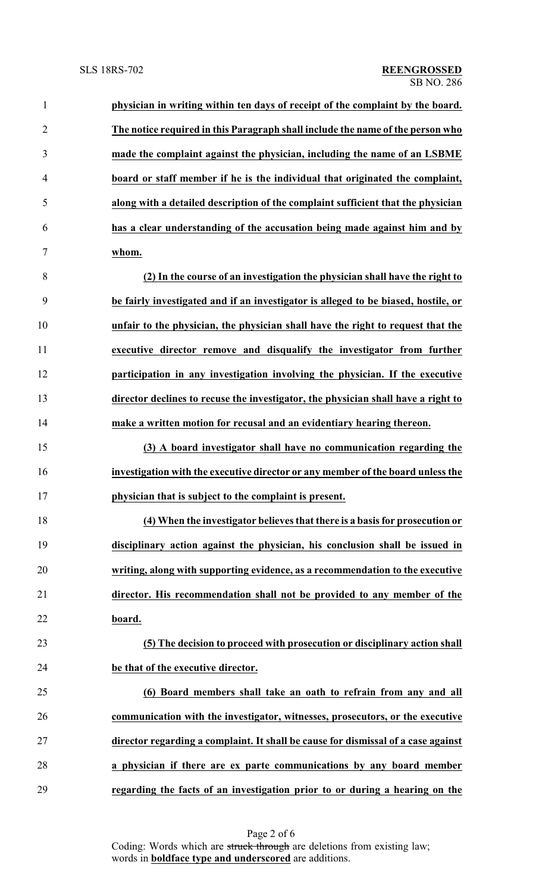| $\mathbf{1}$   | physician in writing within ten days of receipt of the complaint by the board.     |
|----------------|------------------------------------------------------------------------------------|
| $\overline{2}$ | The notice required in this Paragraph shall include the name of the person who     |
| 3              | made the complaint against the physician, including the name of an LSBME           |
| $\overline{4}$ | board or staff member if he is the individual that originated the complaint,       |
| 5              | along with a detailed description of the complaint sufficient that the physician   |
| 6              | has a clear understanding of the accusation being made against him and by          |
| 7              | whom.                                                                              |
| 8              | (2) In the course of an investigation the physician shall have the right to        |
| 9              | be fairly investigated and if an investigator is alleged to be biased, hostile, or |
| 10             | unfair to the physician, the physician shall have the right to request that the    |
| 11             | executive director remove and disqualify the investigator from further             |
| 12             | participation in any investigation involving the physician. If the executive       |
| 13             | director declines to recuse the investigator, the physician shall have a right to  |
| 14             | make a written motion for recusal and an evidentiary hearing thereon.              |
| 15             | (3) A board investigator shall have no communication regarding the                 |
| 16             | investigation with the executive director or any member of the board unless the    |
| 17             | physician that is subject to the complaint is present.                             |
| 18             | (4) When the investigator believes that there is a basis for prosecution or        |
| 19             | disciplinary action against the physician, his conclusion shall be issued in       |
| 20             | writing, along with supporting evidence, as a recommendation to the executive      |
| 21             | director. His recommendation shall not be provided to any member of the            |
| 22             | board.                                                                             |
| 23             | (5) The decision to proceed with prosecution or disciplinary action shall          |
| 24             | be that of the executive director.                                                 |
| 25             | (6) Board members shall take an oath to refrain from any and all                   |
| 26             | communication with the investigator, witnesses, prosecutors, or the executive      |
| 27             | director regarding a complaint. It shall be cause for dismissal of a case against  |
| 28             | a physician if there are ex parte communications by any board member               |
| 29             | regarding the facts of an investigation prior to or during a hearing on the        |

Page 2 of 6 Coding: Words which are struck through are deletions from existing law; words in **boldface type and underscored** are additions.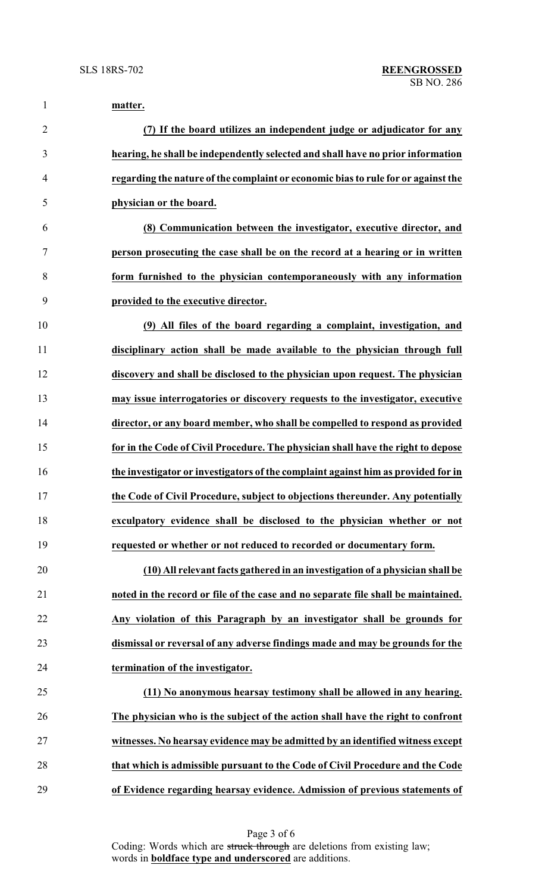| $\mathbf{1}$   | matter.                                                                           |
|----------------|-----------------------------------------------------------------------------------|
| $\overline{2}$ | (7) If the board utilizes an independent judge or adjudicator for any             |
| 3              | hearing, he shall be independently selected and shall have no prior information   |
| 4              | regarding the nature of the complaint or economic bias to rule for or against the |
| 5              | physician or the board.                                                           |
| 6              | (8) Communication between the investigator, executive director, and               |
| 7              | person prosecuting the case shall be on the record at a hearing or in written     |
| 8              | form furnished to the physician contemporaneously with any information            |
| 9              | provided to the executive director.                                               |
| 10             | (9) All files of the board regarding a complaint, investigation, and              |
| 11             | disciplinary action shall be made available to the physician through full         |
| 12             | discovery and shall be disclosed to the physician upon request. The physician     |
| 13             | may issue interrogatories or discovery requests to the investigator, executive    |
| 14             | director, or any board member, who shall be compelled to respond as provided      |
| 15             | for in the Code of Civil Procedure. The physician shall have the right to depose  |
| 16             | the investigator or investigators of the complaint against him as provided for in |
| 17             | the Code of Civil Procedure, subject to objections thereunder. Any potentially    |
| 18             | exculpatory evidence shall be disclosed to the physician whether or not           |
| 19             | requested or whether or not reduced to recorded or documentary form.              |
| 20             | (10) All relevant facts gathered in an investigation of a physician shall be      |
| 21             | noted in the record or file of the case and no separate file shall be maintained. |
| 22             | Any violation of this Paragraph by an investigator shall be grounds for           |
| 23             | dismissal or reversal of any adverse findings made and may be grounds for the     |
| 24             | termination of the investigator.                                                  |
| 25             | (11) No anonymous hearsay testimony shall be allowed in any hearing.              |
| 26             | The physician who is the subject of the action shall have the right to confront   |
| 27             | witnesses. No hearsay evidence may be admitted by an identified witness except    |
| 28             | that which is admissible pursuant to the Code of Civil Procedure and the Code     |
| 29             | of Evidence regarding hearsay evidence. Admission of previous statements of       |

Page 3 of 6 Coding: Words which are struck through are deletions from existing law; words in **boldface type and underscored** are additions.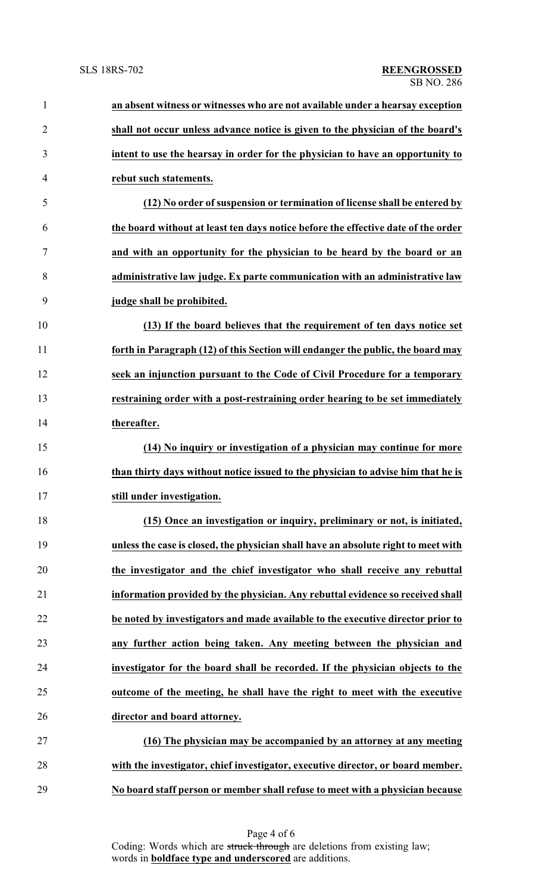| $\mathbf{1}$   | an absent witness or witnesses who are not available under a hearsay exception     |
|----------------|------------------------------------------------------------------------------------|
| $\overline{2}$ | shall not occur unless advance notice is given to the physician of the board's     |
| 3              | intent to use the hearsay in order for the physician to have an opportunity to     |
| 4              | rebut such statements.                                                             |
| 5              | (12) No order of suspension or termination of license shall be entered by          |
| 6              | the board without at least ten days notice before the effective date of the order  |
| 7              | and with an opportunity for the physician to be heard by the board or an           |
| 8              | administrative law judge. Ex parte communication with an administrative law        |
| 9              | judge shall be prohibited.                                                         |
| 10             | (13) If the board believes that the requirement of ten days notice set             |
| 11             | forth in Paragraph (12) of this Section will endanger the public, the board may    |
| 12             | seek an injunction pursuant to the Code of Civil Procedure for a temporary         |
| 13             | restraining order with a post-restraining order hearing to be set immediately      |
| 14             | thereafter.                                                                        |
| 15             | (14) No inquiry or investigation of a physician may continue for more              |
| 16             | than thirty days without notice issued to the physician to advise him that he is   |
| 17             | still under investigation.                                                         |
| 18             | (15) Once an investigation or inquiry, preliminary or not, is initiated,           |
| 19             | unless the case is closed, the physician shall have an absolute right to meet with |
| 20             | the investigator and the chief investigator who shall receive any rebuttal         |
| 21             | information provided by the physician. Any rebuttal evidence so received shall     |
| 22             | be noted by investigators and made available to the executive director prior to    |
| 23             | any further action being taken. Any meeting between the physician and              |
| 24             | investigator for the board shall be recorded. If the physician objects to the      |
| 25             | outcome of the meeting, he shall have the right to meet with the executive         |
| 26             | director and board attorney.                                                       |
| 27             | (16) The physician may be accompanied by an attorney at any meeting                |
| 28             | with the investigator, chief investigator, executive director, or board member.    |
| 29             | No board staff person or member shall refuse to meet with a physician because      |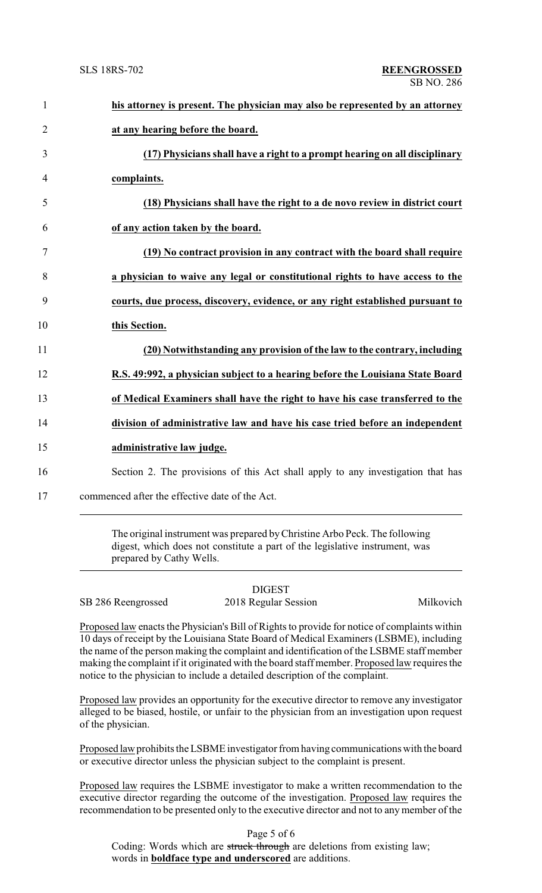| $\mathbf{1}$   | his attorney is present. The physician may also be represented by an attorney   |
|----------------|---------------------------------------------------------------------------------|
| $\overline{2}$ | at any hearing before the board.                                                |
| 3              | (17) Physicians shall have a right to a prompt hearing on all disciplinary      |
| 4              | complaints.                                                                     |
| 5              | (18) Physicians shall have the right to a de novo review in district court      |
| 6              | of any action taken by the board.                                               |
| 7              | (19) No contract provision in any contract with the board shall require         |
| 8              | a physician to waive any legal or constitutional rights to have access to the   |
| 9              | courts, due process, discovery, evidence, or any right established pursuant to  |
| 10             | this Section.                                                                   |
| 11             | (20) Notwithstanding any provision of the law to the contrary, including        |
| 12             | R.S. 49:992, a physician subject to a hearing before the Louisiana State Board  |
| 13             | of Medical Examiners shall have the right to have his case transferred to the   |
| 14             | division of administrative law and have his case tried before an independent    |
| 15             | administrative law judge.                                                       |
| 16             | Section 2. The provisions of this Act shall apply to any investigation that has |
|                |                                                                                 |

17 commenced after the effective date of the Act.

The original instrument was prepared byChristine Arbo Peck. The following digest, which does not constitute a part of the legislative instrument, was prepared by Cathy Wells.

SB 286 Reengrossed 2018 Regular Session Milkovich

DIGEST

Proposed law enacts the Physician's Bill of Rights to provide for notice of complaints within 10 days of receipt by the Louisiana State Board of Medical Examiners (LSBME), including the name of the person making the complaint and identification of the LSBME staff member making the complaint if it originated with the board staff member. Proposed law requires the notice to the physician to include a detailed description of the complaint.

Proposed law provides an opportunity for the executive director to remove any investigator alleged to be biased, hostile, or unfair to the physician from an investigation upon request of the physician.

Proposed law prohibits the LSBME investigator from having communications with the board or executive director unless the physician subject to the complaint is present.

Proposed law requires the LSBME investigator to make a written recommendation to the executive director regarding the outcome of the investigation. Proposed law requires the recommendation to be presented only to the executive director and not to any member of the

Page 5 of 6

Coding: Words which are struck through are deletions from existing law; words in **boldface type and underscored** are additions.